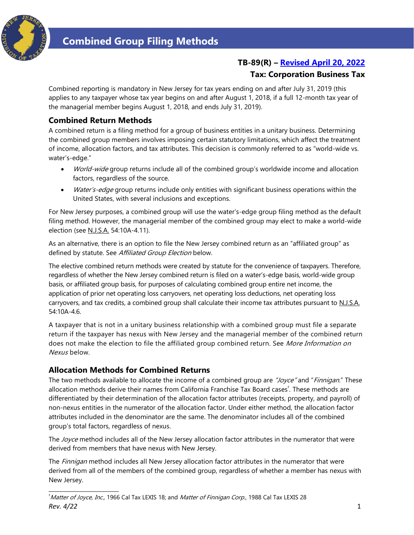

# **TB-89(R) – [Revised April 20, 2022](#page-5-0)**

## **Tax: Corporation Business Tax**

Combined reporting is mandatory in New Jersey for tax years ending on and after July 31, 2019 (this applies to any taxpayer whose tax year begins on and after August 1, 2018, if a full 12-month tax year of the managerial member begins August 1, 2018, and ends July 31, 2019).

## **Combined Return Methods**

A combined return is a filing method for a group of business entities in a unitary business. Determining the combined group members involves imposing certain statutory limitations, which affect the treatment of income, allocation factors, and tax attributes. This decision is commonly referred to as "world-wide vs. water's-edge."

- World-wide group returns include all of the combined group's worldwide income and allocation factors, regardless of the source.
- Water's-edge group returns include only entities with significant business operations within the United States, with several inclusions and exceptions.

For New Jersey purposes, a combined group will use the water's-edge group filing method as the default filing method. However, the managerial member of the combined group may elect to make a world-wide election (see N.J.S.A. 54:10A-4.11).

As an alternative, there is an option to file the New Jersey combined return as an "affiliated group" as defined by statute. See Affiliated Group Election below.

The elective combined return methods were created by statute for the convenience of taxpayers. Therefore, regardless of whether the New Jersey combined return is filed on a water's-edge basis, world-wide group basis, or affiliated group basis, for purposes of calculating combined group entire net income, the application of prior net operating loss carryovers, net operating loss deductions, net operating loss carryovers, and tax credits, a combined group shall calculate their income tax attributes pursuant to N.J.S.A. 54:10A-4.6.

A taxpayer that is not in a unitary business relationship with a combined group must file a separate return if the taxpayer has nexus with New Jersey and the managerial member of the combined return does not make the election to file the affiliated group combined return. See More Information on Nexus below.

#### **Allocation Methods for Combined Returns**

**\_\_\_\_\_\_\_\_\_\_\_\_\_\_\_\_\_\_\_\_\_\_\_\_\_**

The two methods available to allocate the income of a combined group are "Joyce" and "Finnigan." These allocation methods derive their names from California Franchise Tax Board cases<sup>†</sup>. These methods are differentiated by their determination of the allocation factor attributes (receipts, property, and payroll) of non-nexus entities in the numerator of the allocation factor. Under either method, the allocation factor attributes included in the denominator are the same. The denominator includes all of the combined group's total factors, regardless of nexus.

The Joyce method includes all of the New Jersey allocation factor attributes in the numerator that were derived from members that have nexus with New Jersey.

The *Finnigan* method includes all New Jersey allocation factor attributes in the numerator that were derived from all of the members of the combined group, regardless of whether a member has nexus with New Jersey.

*Rev. 4/22* 1 <sup>†</sup>*Matter of Joyce, Inc.,* 1966 Cal Tax LEXIS 18; and *Matter of Finnigan Corp.,* 1988 Cal Tax LEXIS 28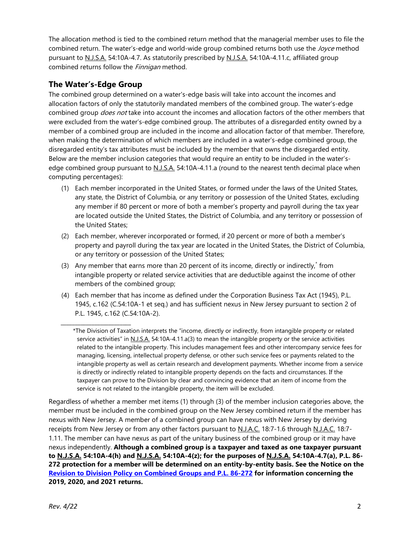The allocation method is tied to the combined return method that the managerial member uses to file the combined return. The water's-edge and world-wide group combined returns both use the Joyce method pursuant to N.J.S.A. 54:10A-4.7. As statutorily prescribed by N.J.S.A. 54:10A-4.11.c, affiliated group combined returns follow the Finnigan method.

# **The Water's-Edge Group**

**\_\_\_\_\_\_\_\_\_\_\_\_\_\_\_\_\_\_\_\_\_\_\_\_\_**

The combined group determined on a water's-edge basis will take into account the incomes and allocation factors of only the statutorily mandated members of the combined group. The water's-edge combined group *does not* take into account the incomes and allocation factors of the other members that were excluded from the water's-edge combined group. The attributes of a disregarded entity owned by a member of a combined group are included in the income and allocation factor of that member. Therefore, when making the determination of which members are included in a water's-edge combined group, the disregarded entity's tax attributes must be included by the member that owns the disregarded entity. Below are the member inclusion categories that would require an entity to be included in the water'sedge combined group pursuant to N.J.S.A. 54:10A-4.11.a (round to the nearest tenth decimal place when computing percentages):

- (1) Each member incorporated in the United States, or formed under the laws of the United States, any state, the District of Columbia, or any territory or possession of the United States, excluding any member if 80 percent or more of both a member's property and payroll during the tax year are located outside the United States, the District of Columbia, and any territory or possession of the United States;
- (2) Each member, wherever incorporated or formed, if 20 percent or more of both a member's property and payroll during the tax year are located in the United States, the District of Columbia, or any territory or possession of the United States;
- (3) Any member that earns more than 20 percent of its income, directly or indirectly,<sup>\*</sup> from intangible property or related service activities that are deductible against the income of other members of the combined group;
- (4) Each member that has income as defined under the Corporation Business Tax Act (1945), P.L. 1945, c.162 (C.54:10A-1 et seq.) and has sufficient nexus in New Jersey pursuant to section 2 of P.L. 1945, c.162 (C.54:10A-2).

Regardless of whether a member met items (1) through (3) of the member inclusion categories above, the member must be included in the combined group on the New Jersey combined return if the member has nexus with New Jersey. A member of a combined group can have nexus with New Jersey by deriving receipts from New Jersey or from any other factors pursuant to N.J.A.C. 18:7-1.6 through N.J.A.C. 18:7- 1.11. The member can have nexus as part of the unitary business of the combined group or it may have nexus independently. **Although a combined group is a taxpayer and taxed as one taxpayer pursuant to N.J.S.A. 54:10A-4(h) and N.J.S.A. 54:10A-4(z); for the purposes of N.J.S.A. 54:10A-4.7(a), P.L. 86- 272 protection for a member will be determined on an entity-by-entity basis. See the Notice on the [Revision to Division Policy on Combined Groups and P.L. 86-272](https://www.state.nj.us/treasury/taxation/cbt/combinedgroupsrevision.shtml) for information concerning the 2019, 2020, and 2021 returns.** 

<sup>\*</sup>The Division of Taxation interprets the "income, directly or indirectly, from intangible property or related service activities" in N.J.S.A. 54:10A-4.11.a(3) to mean the intangible property or the service activities related to the intangible property. This includes management fees and other intercompany service fees for managing, licensing, intellectual property defense, or other such service fees or payments related to the intangible property as well as certain research and development payments. Whether income from a service is directly or indirectly related to intangible property depends on the facts and circumstances. If the taxpayer can prove to the Division by clear and convincing evidence that an item of income from the service is not related to the intangible property, the item will be excluded.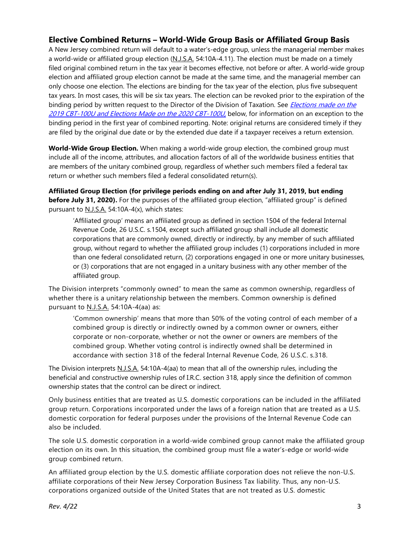# **Elective Combined Returns – World-Wide Group Basis or Affiliated Group Basis**

A New Jersey combined return will default to a water's-edge group, unless the managerial member makes a world-wide or affiliated group election (N.J.S.A. 54:10A-4.11). The election must be made on a timely filed original combined return in the tax year it becomes effective, not before or after. A world-wide group election and affiliated group election cannot be made at the same time, and the managerial member can only choose one election. The elections are binding for the tax year of the election, plus five subsequent tax years. In most cases, this will be six tax years. The election can be revoked prior to the expiration of the binding period by written request to the Director of the Division of Taxation. See *Elections made on the* [2019 CBT-100U and Elections Made on](#page-4-0) the 2020 CBT-100U, below, for information on an exception to the binding period in the first year of combined reporting. Note: original returns are considered timely if they are filed by the original due date or by the extended due date if a taxpayer receives a return extension.

**World-Wide Group Election.** When making a world-wide group election, the combined group must include all of the income, attributes, and allocation factors of all of the worldwide business entities that are members of the unitary combined group, regardless of whether such members filed a federal tax return or whether such members filed a federal consolidated return(s).

**Affiliated Group Election (for privilege periods ending on and after July 31, 2019, but ending before July 31, 2020).** For the purposes of the affiliated group election, "affiliated group" is defined pursuant to N.J.S.A. 54:10A-4(x), which states:

'Affiliated group' means an affiliated group as defined in section 1504 of the federal Internal Revenue Code, 26 U.S.C. s.1504, except such affiliated group shall include all domestic corporations that are commonly owned, directly or indirectly, by any member of such affiliated group, without regard to whether the affiliated group includes (1) corporations included in more than one federal consolidated return, (2) corporations engaged in one or more unitary businesses, or (3) corporations that are not engaged in a unitary business with any other member of the affiliated group.

The Division interprets "commonly owned" to mean the same as common ownership, regardless of whether there is a unitary relationship between the members. Common ownership is defined pursuant to N.J.S.A. 54:10A-4(aa) as:

'Common ownership' means that more than 50% of the voting control of each member of a combined group is directly or indirectly owned by a common owner or owners, either corporate or non-corporate, whether or not the owner or owners are members of the combined group. Whether voting control is indirectly owned shall be determined in accordance with section 318 of the federal Internal Revenue Code, 26 U.S.C. s.318.

The Division interprets N.J.S.A. 54:10A-4(aa) to mean that all of the ownership rules, including the beneficial and constructive ownership rules of I.R.C. section 318, apply since the definition of common ownership states that the control can be direct or indirect.

Only business entities that are treated as U.S. domestic corporations can be included in the affiliated group return. Corporations incorporated under the laws of a foreign nation that are treated as a U.S. domestic corporation for federal purposes under the provisions of the Internal Revenue Code can also be included.

The sole U.S. domestic corporation in a world-wide combined group cannot make the affiliated group election on its own. In this situation, the combined group must file a water's-edge or world-wide group combined return.

An affiliated group election by the U.S. domestic affiliate corporation does not relieve the non-U.S. affiliate corporations of their New Jersey Corporation Business Tax liability. Thus, any non-U.S. corporations organized outside of the United States that are not treated as U.S. domestic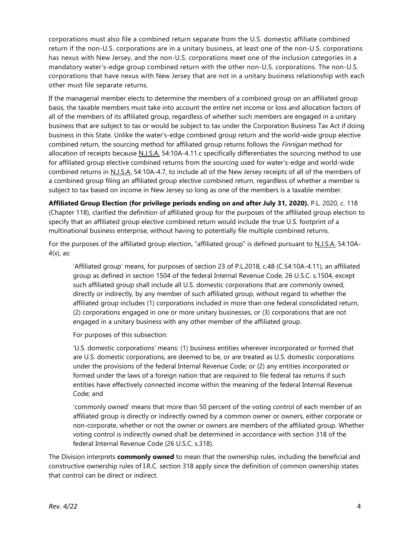corporations must also file a combined return separate from the U.S. domestic affiliate combined return if the non-U.S. corporations are in a unitary business, at least one of the non-U.S. corporations has nexus with New Jersey, and the non-U.S. corporations meet one of the inclusion categories in a mandatory water's-edge group combined return with the other non-U.S. corporations. The non-U.S. corporations that have nexus with New Jersey that are not in a unitary business relationship with each other must file separate returns.

If the managerial member elects to determine the members of a combined group on an affiliated group basis, the taxable members must take into account the entire net income or loss and allocation factors of all of the members of its affiliated group, regardless of whether such members are engaged in a unitary business that are subject to tax or would be subject to tax under the Corporation Business Tax Act if doing business in this State. Unlike the water's-edge combined group return and the world-wide group elective combined return, the sourcing method for affiliated group returns follows the *Finnigan* method for allocation of receipts because N.J.S.A. 54:10A-4.11.c specifically differentiates the sourcing method to use for affiliated group elective combined returns from the sourcing used for water's-edge and world-wide combined returns in N.J.S.A. 54:10A-4.7, to include all of the New Jersey receipts of all of the members of a combined group filing an affiliated group elective combined return, regardless of whether a member is subject to tax based on income in New Jersey so long as one of the members is a taxable member.

**Affiliated Group Election (for privilege periods ending on and after July 31, 2020).** P.L. 2020, c. 118 (Chapter 118), clarified the definition of affiliated group for the purposes of the affiliated group election to specify that an affiliated group elective combined return would include the true U.S. footprint of a multinational business enterprise, without having to potentially file multiple combined returns.

For the purposes of the affiliated group election, "affiliated group" is defined pursuant to N.J.S.A. 54:10A- $4(x)$ , as:

'Affiliated group' means, for purposes of section 23 of P.L.2018, c.48 (C.54:10A-4.11), an affiliated group as defined in section 1504 of the federal Internal Revenue Code, 26 U.S.C. s.1504, except such affiliated group shall include all U.S. domestic corporations that are commonly owned, directly or indirectly, by any member of such affiliated group, without regard to whether the affiliated group includes (1) corporations included in more than one federal consolidated return, (2) corporations engaged in one or more unitary businesses, or (3) corporations that are not engaged in a unitary business with any other member of the affiliated group.

For purposes of this subsection:

'U.S. domestic corporations' means: (1) business entities wherever incorporated or formed that are U.S. domestic corporations, are deemed to be, or are treated as U.S. domestic corporations under the provisions of the federal Internal Revenue Code; or (2) any entities incorporated or formed under the laws of a foreign nation that are required to file federal tax returns if such entities have effectively connected income within the meaning of the federal Internal Revenue Code; and

'commonly owned' means that more than 50 percent of the voting control of each member of an affiliated group is directly or indirectly owned by a common owner or owners, either corporate or non-corporate, whether or not the owner or owners are members of the affiliated group. Whether voting control is indirectly owned shall be determined in accordance with section 318 of the federal Internal Revenue Code (26 U.S.C. s.318).

The Division interprets **commonly owned** to mean that the ownership rules, including the beneficial and constructive ownership rules of I.R.C. section 318 apply since the definition of common ownership states that control can be direct or indirect.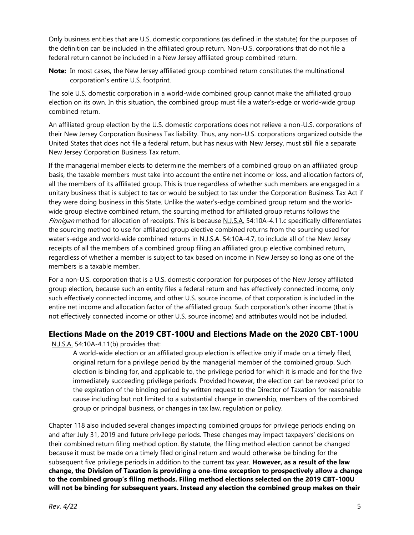Only business entities that are U.S. domestic corporations (as defined in the statute) for the purposes of the definition can be included in the affiliated group return. Non-U.S. corporations that do not file a federal return cannot be included in a New Jersey affiliated group combined return.

**Note:** In most cases, the New Jersey affiliated group combined return constitutes the multinational corporation's entire U.S. footprint.

The sole U.S. domestic corporation in a world-wide combined group cannot make the affiliated group election on its own. In this situation, the combined group must file a water's-edge or world-wide group combined return.

An affiliated group election by the U.S. domestic corporations does not relieve a non-U.S. corporations of their New Jersey Corporation Business Tax liability. Thus, any non-U.S. corporations organized outside the United States that does not file a federal return, but has nexus with New Jersey, must still file a separate New Jersey Corporation Business Tax return.

If the managerial member elects to determine the members of a combined group on an affiliated group basis, the taxable members must take into account the entire net income or loss, and allocation factors of, all the members of its affiliated group. This is true regardless of whether such members are engaged in a unitary business that is subject to tax or would be subject to tax under the Corporation Business Tax Act if they were doing business in this State. Unlike the water's-edge combined group return and the worldwide group elective combined return, the sourcing method for affiliated group returns follows the Finnigan method for allocation of receipts. This is because N.J.S.A. 54:10A-4.11.c specifically differentiates the sourcing method to use for affiliated group elective combined returns from the sourcing used for water's-edge and world-wide combined returns in N.J.S.A. 54:10A-4.7, to include all of the New Jersey receipts of all the members of a combined group filing an affiliated group elective combined return, regardless of whether a member is subject to tax based on income in New Jersey so long as one of the members is a taxable member.

For a non-U.S. corporation that is a U.S. domestic corporation for purposes of the New Jersey affiliated group election, because such an entity files a federal return and has effectively connected income, only such effectively connected income, and other U.S. source income, of that corporation is included in the entire net income and allocation factor of the affiliated group. Such corporation's other income (that is not effectively connected income or other U.S. source income) and attributes would not be included.

#### <span id="page-4-0"></span>**Elections Made on the 2019 CBT-100U and Elections Made on the 2020 CBT-100U**

N.J.S.A. 54:10A-4.11(b) provides that:

A world-wide election or an affiliated group election is effective only if made on a timely filed, original return for a privilege period by the managerial member of the combined group. Such election is binding for, and applicable to, the privilege period for which it is made and for the five immediately succeeding privilege periods. Provided however, the election can be revoked prior to the expiration of the binding period by written request to the Director of Taxation for reasonable cause including but not limited to a substantial change in ownership, members of the combined group or principal business, or changes in tax law, regulation or policy.

Chapter 118 also included several changes impacting combined groups for privilege periods ending on and after July 31, 2019 and future privilege periods. These changes may impact taxpayers' decisions on their combined return filing method option. By statute, the filing method election cannot be changed because it must be made on a timely filed original return and would otherwise be binding for the subsequent five privilege periods in addition to the current tax year. **However, as a result of the law change, the Division of Taxation is providing a one-time exception to prospectively allow a change to the combined group's filing methods. Filing method elections selected on the 2019 CBT-100U will not be binding for subsequent years. Instead any election the combined group makes on their**